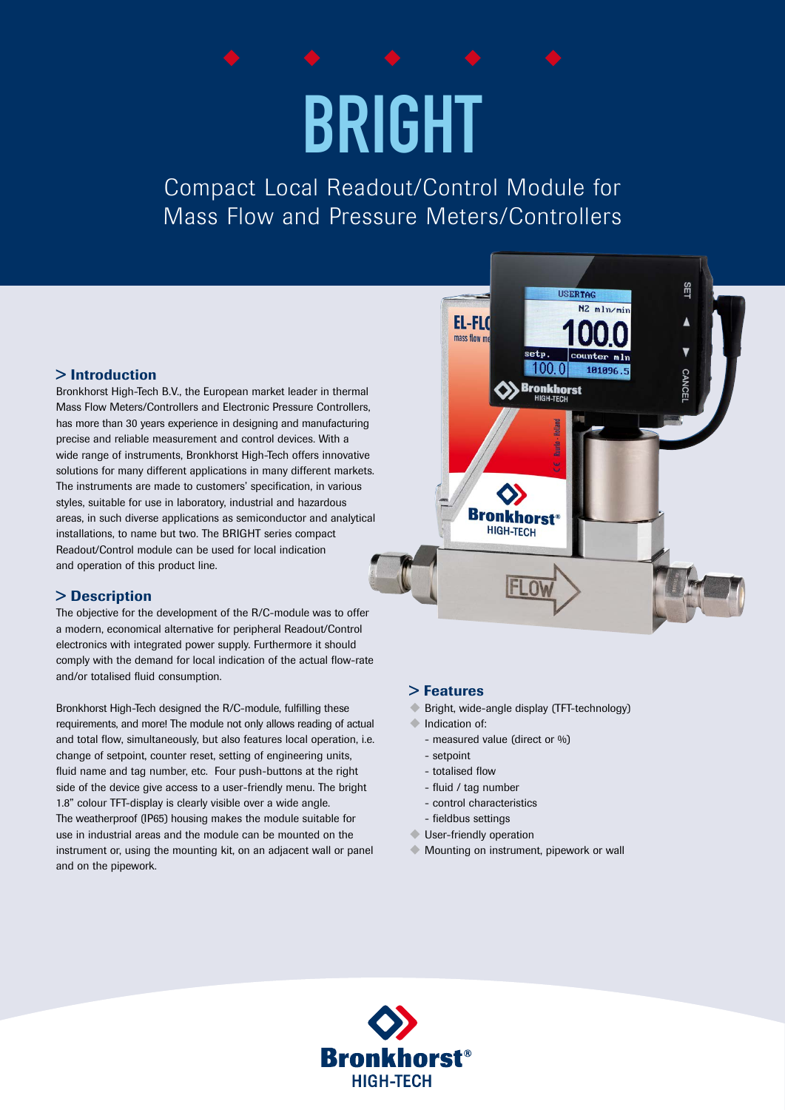# BRIGHT

Compact Local Readout/Control Module for Mass Flow and Pressure Meters/Controllers

### > Introduction

Bronkhorst High-Tech B.V., the European market leader in thermal Mass Flow Meters/Controllers and Electronic Pressure Controllers, has more than 30 years experience in designing and manufacturing precise and reliable measurement and control devices. With a wide range of instruments, Bronkhorst High-Tech offers innovative solutions for many different applications in many different markets. The instruments are made to customers' specification, in various styles, suitable for use in laboratory, industrial and hazardous areas, in such diverse applications as semiconductor and analytical installations, to name but two. The BRIGHT series compact Readout/Control module can be used for local indication and operation of this product line.

### > Description

The objective for the development of the R/C-module was to offer a modern, economical alternative for peripheral Readout/Control electronics with integrated power supply. Furthermore it should comply with the demand for local indication of the actual flow-rate and/or totalised fluid consumption.

Bronkhorst High-Tech designed the R/C-module, fulfilling these requirements, and more! The module not only allows reading of actual and total flow, simultaneously, but also features local operation, i.e. change of setpoint, counter reset, setting of engineering units, fluid name and tag number, etc. Four push-buttons at the right side of the device give access to a user-friendly menu. The bright 1.8" colour TFT-display is clearly visible over a wide angle. The weatherproof (IP65) housing makes the module suitable for use in industrial areas and the module can be mounted on the instrument or, using the mounting kit, on an adjacent wall or panel and on the pipework.



## > Features

- ◆ Bright, wide-angle display (TFT-technology)
- $\bullet$  Indication of:
	- measured value (direct or %)
	- setpoint
	- totalised flow
	- fluid / tag number
	- control characteristics
	- fieldbus settings
- **User-friendly operation**
- $\blacklozenge$  Mounting on instrument, pipework or wall